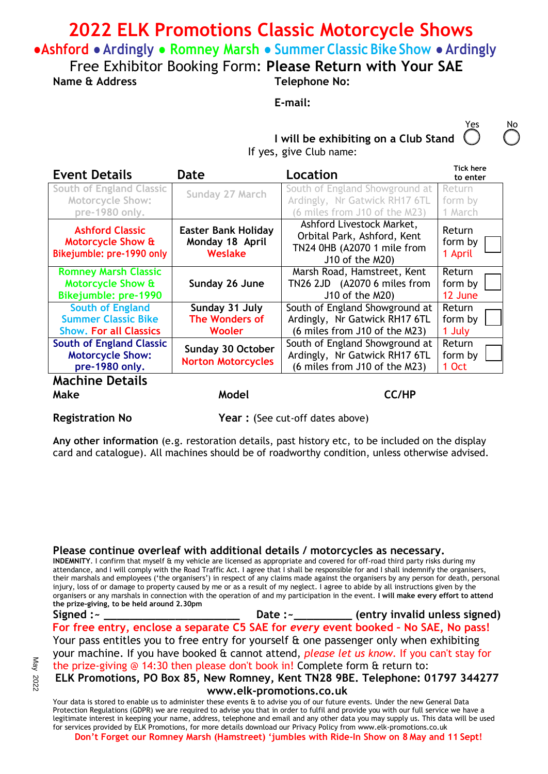## **2022 ELK Promotions Classic Motorcycle Shows**

**●Ashford ●Ardingly ● Romney Marsh ● Summer Classic Bike Show ● Ardingly**

Free Exhibitor Booking Form: **Please Return with Your SAE** 

**Name & Address Telephone No:** 

**E-mail:**

No

**I will be exhibiting on a Club Stand**  If yes, give Club name:

| <b>Event Details</b>                                                                                          | Date                                                     | Location                                                                                                   | <b>Tick here</b><br>to enter |
|---------------------------------------------------------------------------------------------------------------|----------------------------------------------------------|------------------------------------------------------------------------------------------------------------|------------------------------|
| <b>South of England Classic</b><br><b>Motorcycle Show:</b>                                                    | Sunday 27 March                                          | South of England Showground at<br>Ardingly, Nr Gatwick RH17 6TL                                            | Return<br>form by            |
| pre-1980 only.                                                                                                |                                                          | (6 miles from J10 of the M23)                                                                              | 1 March                      |
| <b>Ashford Classic</b><br>Motorcycle Show &<br>Bikejumble: pre-1990 only                                      | <b>Easter Bank Holiday</b><br>Monday 18 April<br>Weslake | Ashford Livestock Market,<br>Orbital Park, Ashford, Kent<br>TN24 0HB (A2070 1 mile from<br>J10 of the M20) | Return<br>form by<br>1 April |
| <b>Romney Marsh Classic</b><br><b>Motorcycle Show &amp;</b><br>Bikejumble: pre-1990                           | Sunday 26 June                                           | Marsh Road, Hamstreet, Kent<br>TN26 2JD (A2070 6 miles from<br>J10 of the M20)                             | Return<br>form by<br>12 June |
| <b>South of England</b><br><b>Summer Classic Bike</b><br><b>Show. For all Classics</b>                        | Sunday 31 July<br>The Wonders of<br><b>Wooler</b>        | South of England Showground at<br>Ardingly, Nr Gatwick RH17 6TL<br>(6 miles from J10 of the M23)           | Return<br>form by<br>1 July  |
| <b>South of England Classic</b><br><b>Motorcycle Show:</b><br>pre-1980 only.<br><i><b>Maghing Dataile</b></i> | Sunday 30 October<br><b>Norton Motorcycles</b>           | South of England Showground at<br>Ardingly, Nr Gatwick RH17 6TL<br>(6 miles from J10 of the M23)           | Return<br>form by<br>1 Oct   |

**Machine Details Make** 

**Model CC/HP** 

**Registration No Separy Prear : (See cut-off dates above)** 

**Any other information** (e.g. restoration details, past history etc, to be included on the display card and catalogue). All machines should be of roadworthy condition, unless otherwise advised.

## **Please continue overleaf with additional details / motorcycles as necessary.**

**INDEMNITY**. I confirm that myself & my vehicle are licensed as appropriate and covered for off-road third party risks during my attendance, and I will comply with the Road Traffic Act. I agree that I shall be responsible for and I shall indemnify the organisers, their marshals and employees ('the organisers') in respect of any claims made against the organisers by any person for death, personal injury, loss of or damage to property caused by me or as a result of my neglect. I agree to abide by all instructions given by the organisers or any marshals in connection with the operation of and my participation in the event. **I will make every effort to attend the prize-giving, to be held around 2.30pm**

**Signed :~ \_\_\_\_\_\_\_\_\_\_\_\_\_\_\_\_\_\_\_\_\_ Date :~\_\_\_\_\_\_\_\_\_ (entry invalid unless signed) For free entry, enclose a separate C5 SAE for** *every* **event booked – No SAE, No pass!**  Your pass entitles you to free entry for yourself & one passenger only when exhibiting your machine. If you have booked & cannot attend, *please let us know.* If you can't stay for the prize-giving @ 14:30 then please don't book in! Complete form & return to:

**ELK Promotions, PO Box 85, New Romney, Kent TN28 9BE. Telephone: 01797 344277 www.elk-promotions.co.uk** 

Your data is stored to enable us to administer these events & to advise you of our future events. Under the new General Data Protection Regulations (GDPR) we are required to advise you that in order to fulfil and provide you with our full service we have a legitimate interest in keeping your name, address, telephone and email and any other data you may supply us. This data will be used for services provided by ELK Promotions, for more details download our Privacy Policy from www.elk-promotions.co.uk **Don't Forget our Romney Marsh (Hamstreet) 'jumbles with Ride-In Show on 8 May and 11 Sept!**